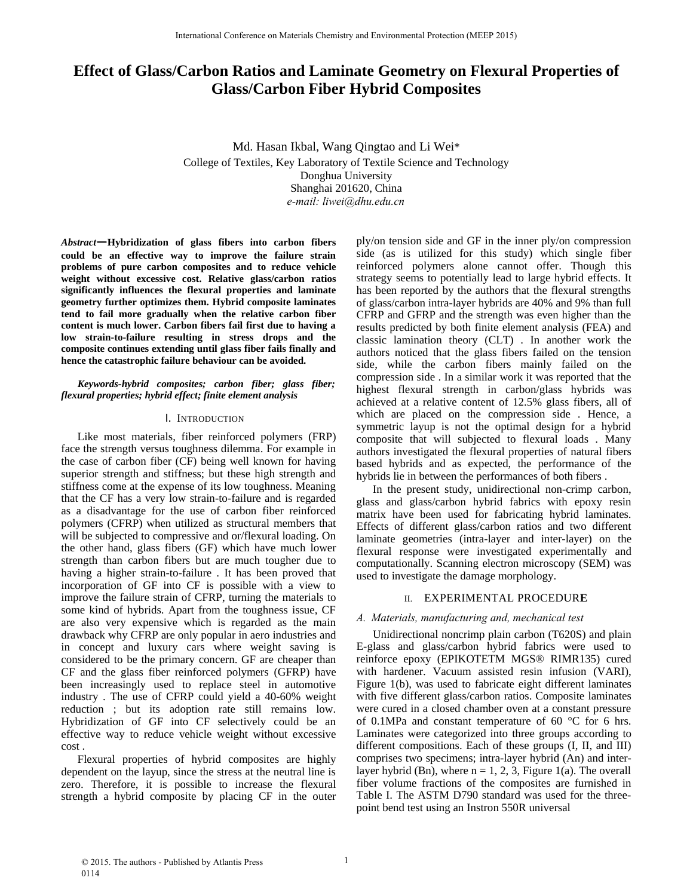# **Effect of Glass/Carbon Ratios and Laminate Geometry on Flexural Properties of Glass/Carbon Fiber Hybrid Composites**

Md. Hasan Ikbal, Wang Qingtao and Li Wei\* College of Textiles, Key Laboratory of Textile Science and Technology Donghua University Shanghai 201620, China *e-mail: liwei@dhu.edu.cn*

*Abstract***—Hybridization of glass fibers into carbon fibers could be an effective way to improve the failure strain problems of pure carbon composites and to reduce vehicle weight without excessive cost. Relative glass/carbon ratios significantly influences the flexural properties and laminate geometry further optimizes them. Hybrid composite laminates tend to fail more gradually when the relative carbon fiber content is much lower. Carbon fibers fail first due to having a low strain-to-failure resulting in stress drops and the composite continues extending until glass fiber fails finally and hence the catastrophic failure behaviour can be avoided.**

## *Keywords-hybrid composites; carbon fiber; glass fiber; flexural properties; hybrid effect; finite element analysis*

## I. INTRODUCTION

Like most materials, fiber reinforced polymers (FRP) face the strength versus toughness dilemma. For example in the case of carbon fiber (CF) being well known for having superior strength and stiffness; but these high strength and stiffness come at the expense of its low toughness. Meaning that the CF has a very low strain-to-failure and is regarded as a disadvantage for the use of carbon fiber reinforced polymers (CFRP) when utilized as structural members that will be subjected to compressive and or/flexural loading. On the other hand, glass fibers (GF) which have much lower strength than carbon fibers but are much tougher due to having a higher strain-to-failure . It has been proved that incorporation of GF into CF is possible with a view to improve the failure strain of CFRP, turning the materials to some kind of hybrids. Apart from the toughness issue, CF are also very expensive which is regarded as the main drawback why CFRP are only popular in aero industries and in concept and luxury cars where weight saving is considered to be the primary concern. GF are cheaper than CF and the glass fiber reinforced polymers (GFRP) have been increasingly used to replace steel in automotive industry . The use of CFRP could yield a 40-60% weight reduction ; but its adoption rate still remains low. Hybridization of GF into CF selectively could be an effective way to reduce vehicle weight without excessive cost .

Flexural properties of hybrid composites are highly dependent on the layup, since the stress at the neutral line is zero. Therefore, it is possible to increase the flexural strength a hybrid composite by placing CF in the outer

ply/on tension side and GF in the inner ply/on compression side (as is utilized for this study) which single fiber reinforced polymers alone cannot offer. Though this strategy seems to potentially lead to large hybrid effects. It has been reported by the authors that the flexural strengths of glass/carbon intra-layer hybrids are 40% and 9% than full CFRP and GFRP and the strength was even higher than the results predicted by both finite element analysis (FEA) and classic lamination theory (CLT) . In another work the authors noticed that the glass fibers failed on the tension side, while the carbon fibers mainly failed on the compression side . In a similar work it was reported that the highest flexural strength in carbon/glass hybrids was achieved at a relative content of 12.5% glass fibers, all of which are placed on the compression side . Hence, a symmetric layup is not the optimal design for a hybrid composite that will subjected to flexural loads . Many authors investigated the flexural properties of natural fibers based hybrids and as expected, the performance of the hybrids lie in between the performances of both fibers .

In the present study, unidirectional non-crimp carbon, glass and glass/carbon hybrid fabrics with epoxy resin matrix have been used for fabricating hybrid laminates. Effects of different glass/carbon ratios and two different laminate geometries (intra-layer and inter-layer) on the flexural response were investigated experimentally and computationally. Scanning electron microscopy (SEM) was used to investigate the damage morphology.

## II. EXPERIMENTAL PROCEDUR**E**

## *A. Materials, manufacturing and, mechanical test*

Unidirectional noncrimp plain carbon (T620S) and plain E-glass and glass/carbon hybrid fabrics were used to reinforce epoxy (EPIKOTETM MGS® RIMR135) cured with hardener. Vacuum assisted resin infusion (VARI), Figure 1(b), was used to fabricate eight different laminates with five different glass/carbon ratios. Composite laminates were cured in a closed chamber oven at a constant pressure of 0.1MPa and constant temperature of 60 °C for 6 hrs. Laminates were categorized into three groups according to different compositions. Each of these groups (I, II, and III) comprises two specimens; intra-layer hybrid (An) and interlayer hybrid (Bn), where  $n = 1, 2, 3$ , Figure 1(a). The overall fiber volume fractions of the composites are furnished in Table I. The ASTM D790 standard was used for the threepoint bend test using an Instron 550R universal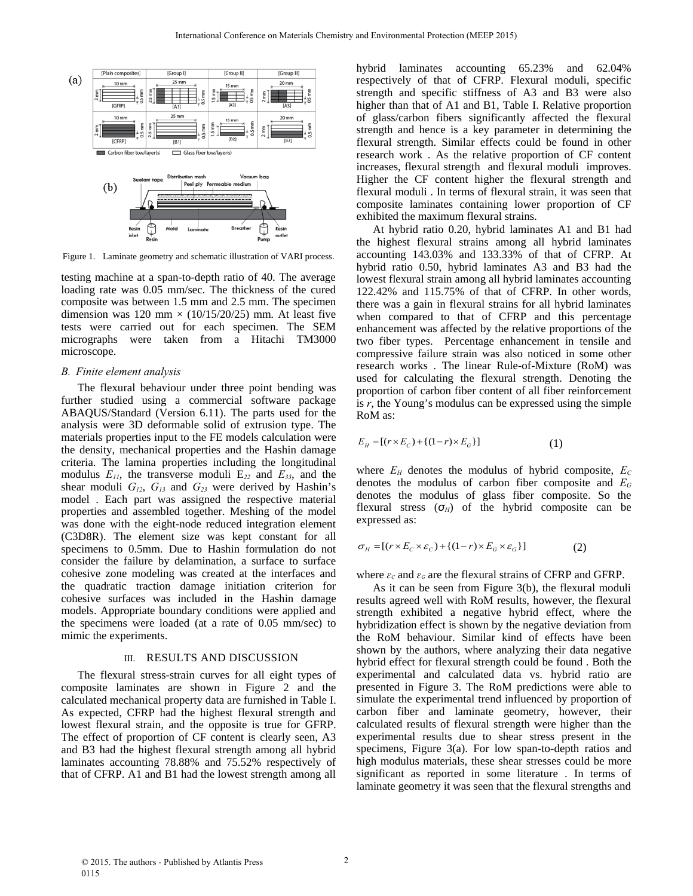

Figure 1. Laminate geometry and schematic illustration of VARI process.

testing machine at a span-to-depth ratio of 40. The average loading rate was 0.05 mm/sec. The thickness of the cured composite was between 1.5 mm and 2.5 mm. The specimen dimension was 120 mm  $\times$  (10/15/20/25) mm. At least five tests were carried out for each specimen. The SEM micrographs were taken from a Hitachi TM3000 microscope.

### *B. Finite element analysis*

The flexural behaviour under three point bending was further studied using a commercial software package ABAQUS/Standard (Version 6.11). The parts used for the analysis were 3D deformable solid of extrusion type. The materials properties input to the FE models calculation were the density, mechanical properties and the Hashin damage criteria. The lamina properties including the longitudinal modulus *E11*, the transverse moduli E*22* and *E33*, and the shear moduli *G12*, *G13* and *G23* were derived by Hashin's model . Each part was assigned the respective material properties and assembled together. Meshing of the model was done with the eight-node reduced integration element (C3D8R). The element size was kept constant for all specimens to 0.5mm. Due to Hashin formulation do not consider the failure by delamination, a surface to surface cohesive zone modeling was created at the interfaces and the quadratic traction damage initiation criterion for cohesive surfaces was included in the Hashin damage models. Appropriate boundary conditions were applied and the specimens were loaded (at a rate of 0.05 mm/sec) to mimic the experiments.

#### III. RESULTS AND DISCUSSION

The flexural stress-strain curves for all eight types of composite laminates are shown in Figure 2 and the calculated mechanical property data are furnished in Table I. As expected, CFRP had the highest flexural strength and lowest flexural strain, and the opposite is true for GFRP. The effect of proportion of CF content is clearly seen, A3 and B3 had the highest flexural strength among all hybrid laminates accounting 78.88% and 75.52% respectively of that of CFRP. A1 and B1 had the lowest strength among all

hybrid laminates accounting 65.23% and 62.04% respectively of that of CFRP. Flexural moduli, specific strength and specific stiffness of A3 and B3 were also higher than that of A1 and B1, Table I. Relative proportion of glass/carbon fibers significantly affected the flexural strength and hence is a key parameter in determining the flexural strength. Similar effects could be found in other research work . As the relative proportion of CF content increases, flexural strength and flexural moduli improves. Higher the CF content higher the flexural strength and flexural moduli . In terms of flexural strain, it was seen that composite laminates containing lower proportion of CF exhibited the maximum flexural strains.

At hybrid ratio 0.20, hybrid laminates A1 and B1 had the highest flexural strains among all hybrid laminates accounting 143.03% and 133.33% of that of CFRP. At hybrid ratio 0.50, hybrid laminates A3 and B3 had the lowest flexural strain among all hybrid laminates accounting 122.42% and 115.75% of that of CFRP. In other words, there was a gain in flexural strains for all hybrid laminates when compared to that of CFRP and this percentage enhancement was affected by the relative proportions of the two fiber types. Percentage enhancement in tensile and compressive failure strain was also noticed in some other research works . The linear Rule-of-Mixture (RoM) was used for calculating the flexural strength. Denoting the proportion of carbon fiber content of all fiber reinforcement is *r*, the Young's modulus can be expressed using the simple RoM as:

$$
E_{H} = [(r \times E_{C}) + \{(1 - r) \times E_{G}\}]
$$
 (1)

where  $E_H$  denotes the modulus of hybrid composite,  $E_C$ denotes the modulus of carbon fiber composite and *EG* denotes the modulus of glass fiber composite. So the flexural stress  $(\sigma_H)$  of the hybrid composite can be expressed as:

$$
\sigma_H = [(r \times E_C \times \varepsilon_C) + \{(1 - r) \times E_G \times \varepsilon_G\}]
$$
\n(2)

where  $\varepsilon_c$  and  $\varepsilon_d$  are the flexural strains of CFRP and GFRP.

As it can be seen from Figure 3(b), the flexural moduli results agreed well with RoM results, however, the flexural strength exhibited a negative hybrid effect, where the hybridization effect is shown by the negative deviation from the RoM behaviour. Similar kind of effects have been shown by the authors, where analyzing their data negative hybrid effect for flexural strength could be found . Both the experimental and calculated data vs. hybrid ratio are presented in Figure 3. The RoM predictions were able to simulate the experimental trend influenced by proportion of carbon fiber and laminate geometry, however, their calculated results of flexural strength were higher than the experimental results due to shear stress present in the specimens, Figure 3(a). For low span-to-depth ratios and high modulus materials, these shear stresses could be more significant as reported in some literature . In terms of laminate geometry it was seen that the flexural strengths and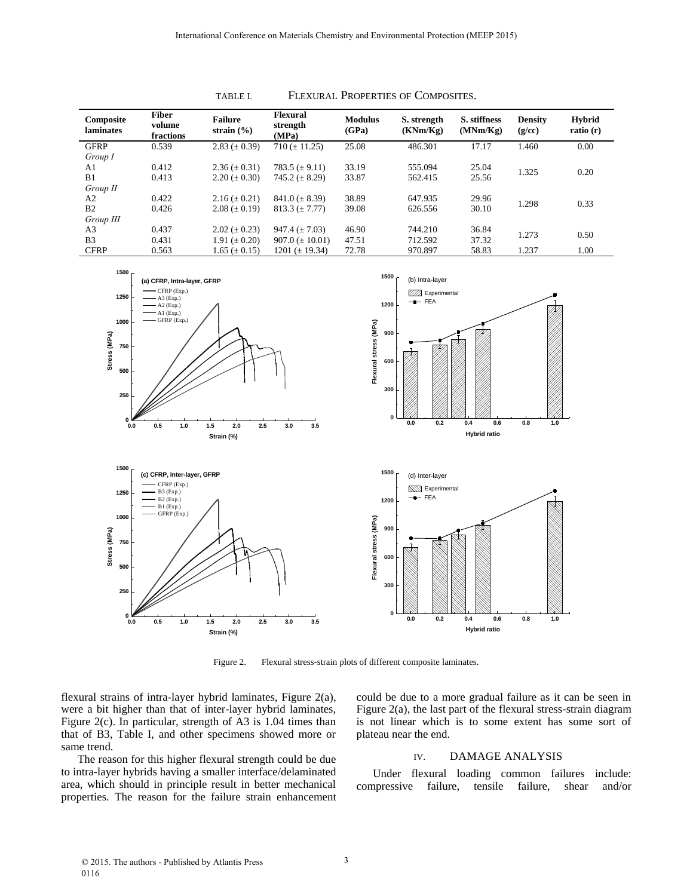| Composite<br>laminates | <b>Fiber</b><br>volume<br>fractions | <b>Failure</b><br>strain $(\% )$ | <b>Flexural</b><br>strength<br>(MPa) | <b>Modulus</b><br>(GPa) | S. strength<br>(KNm/Kg) | S. stiffness<br>(MNm/Kg) | <b>Density</b><br>(g/cc) | <b>Hybrid</b><br>ratio(r) |
|------------------------|-------------------------------------|----------------------------------|--------------------------------------|-------------------------|-------------------------|--------------------------|--------------------------|---------------------------|
| <b>GFRP</b>            | 0.539                               | $2.83 \ (\pm 0.39)$              | $710 (\pm 11.25)$                    | 25.08                   | 486.301                 | 17.17                    | 1.460                    | 0.00                      |
| Group I                |                                     |                                  |                                      |                         |                         |                          |                          |                           |
| A <sub>1</sub>         | 0.412                               | $2.36 \ (\pm 0.31)$              | 783.5 $(\pm 9.11)$                   | 33.19                   | 555.094                 | 25.04                    | 1.325                    | 0.20                      |
| B1                     | 0.413                               | $2.20 \ (\pm 0.30)$              | 745.2 $(\pm 8.29)$                   | 33.87                   | 562.415                 | 25.56                    |                          |                           |
| Group II               |                                     |                                  |                                      |                         |                         |                          |                          |                           |
| A <sub>2</sub>         | 0.422                               | $2.16 (\pm 0.21)$                | $841.0 (\pm 8.39)$                   | 38.89                   | 647.935                 | 29.96                    | 1.298                    | 0.33                      |
| B <sub>2</sub>         | 0.426                               | $2.08 \ (\pm 0.19)$              | $813.3 (\pm 7.77)$                   | 39.08                   | 626.556                 | 30.10                    |                          |                           |
| Group III              |                                     |                                  |                                      |                         |                         |                          |                          |                           |
| A <sub>3</sub>         | 0.437                               | $2.02 \ (\pm 0.23)$              | $947.4 (\pm 7.03)$                   | 46.90                   | 744.210                 | 36.84                    | 1.273                    | 0.50                      |
| B <sub>3</sub>         | 0.431                               | 1.91 $(\pm 0.20)$                | $907.0 \ (\pm 10.01)$                | 47.51                   | 712.592                 | 37.32                    |                          |                           |
| <b>CFRP</b>            | 0.563                               | $1.65 \ (\pm 0.15)$              | 1201 $(\pm 19.34)$                   | 72.78                   | 970.897                 | 58.83                    | 1.237                    | 1.00                      |









Figure 2. Flexural stress-strain plots of different composite laminates.

flexural strains of intra-layer hybrid laminates, Figure 2(a), were a bit higher than that of inter-layer hybrid laminates, Figure 2(c). In particular, strength of A3 is 1.04 times than that of B3, Table I, and other specimens showed more or same trend.

**0**

**250**

**500**

**750**

**Stress (MPa)**

Stress (MPa)

**1000**

**1250**

The reason for this higher flexural strength could be due to intra-layer hybrids having a smaller interface/delaminated area, which should in principle result in better mechanical properties. The reason for the failure strain enhancement could be due to a more gradual failure as it can be seen in Figure 2(a), the last part of the flexural stress-strain diagram is not linear which is to some extent has some sort of plateau near the end.

## IV. DAMAGE ANALYSIS

Under flexural loading common failures include: compressive failure, tensile failure, shear and/or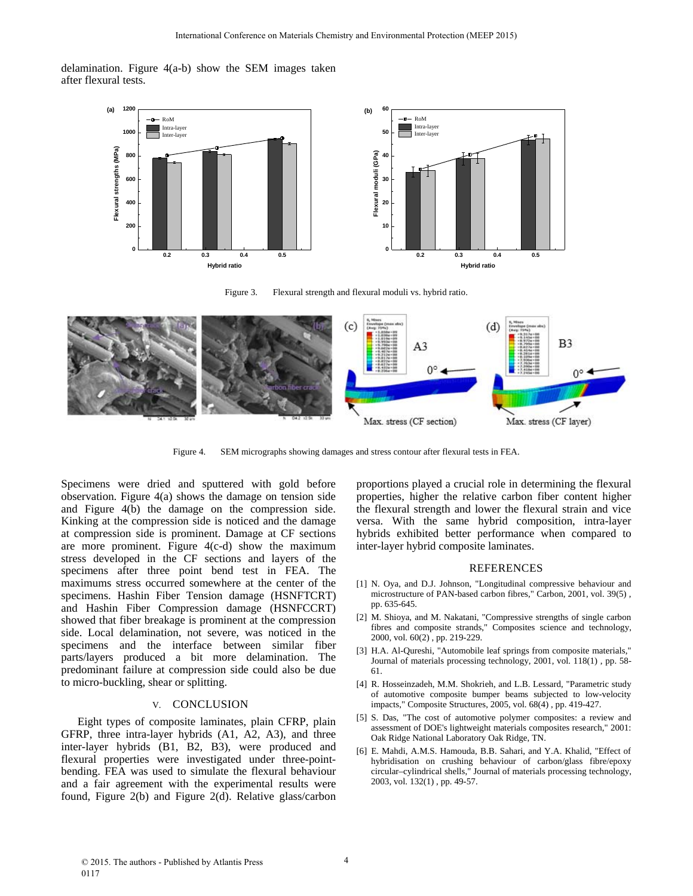delamination. Figure 4(a-b) show the SEM images taken after flexural tests.



Figure 3. Flexural strength and flexural moduli vs. hybrid ratio.



Figure 4. SEM micrographs showing damages and stress contour after flexural tests in FEA.

Specimens were dried and sputtered with gold before observation. Figure 4(a) shows the damage on tension side and Figure 4(b) the damage on the compression side. Kinking at the compression side is noticed and the damage at compression side is prominent. Damage at CF sections are more prominent. Figure 4(c-d) show the maximum stress developed in the CF sections and layers of the specimens after three point bend test in FEA. The maximums stress occurred somewhere at the center of the specimens. Hashin Fiber Tension damage (HSNFTCRT) and Hashin Fiber Compression damage (HSNFCCRT) showed that fiber breakage is prominent at the compression side. Local delamination, not severe, was noticed in the specimens and the interface between similar fiber parts/layers produced a bit more delamination. The predominant failure at compression side could also be due to micro-buckling, shear or splitting.

## V. CONCLUSION

Eight types of composite laminates, plain CFRP, plain GFRP, three intra-layer hybrids (A1, A2, A3), and three inter-layer hybrids (B1, B2, B3), were produced and flexural properties were investigated under three-pointbending. FEA was used to simulate the flexural behaviour and a fair agreement with the experimental results were found, Figure 2(b) and Figure 2(d). Relative glass/carbon proportions played a crucial role in determining the flexural properties, higher the relative carbon fiber content higher the flexural strength and lower the flexural strain and vice versa. With the same hybrid composition, intra-layer hybrids exhibited better performance when compared to inter-layer hybrid composite laminates.

#### REFERENCES

- [1] N. Oya, and D.J. Johnson, "Longitudinal compressive behaviour and microstructure of PAN-based carbon fibres," Carbon, 2001, vol. 39(5) , pp. 635-645.
- [2] M. Shioya, and M. Nakatani, "Compressive strengths of single carbon fibres and composite strands," Composites science and technology, 2000, vol. 60(2) , pp. 219-229.
- [3] H.A. Al-Qureshi, "Automobile leaf springs from composite materials," Journal of materials processing technology, 2001, vol. 118(1) , pp. 58- 61.
- [4] R. Hosseinzadeh, M.M. Shokrieh, and L.B. Lessard, "Parametric study of automotive composite bumper beams subjected to low-velocity impacts," Composite Structures, 2005, vol. 68(4) , pp. 419-427.
- [5] S. Das, "The cost of automotive polymer composites: a review and assessment of DOE's lightweight materials composites research," 2001: Oak Ridge National Laboratory Oak Ridge, TN.
- [6] E. Mahdi, A.M.S. Hamouda, B.B. Sahari, and Y.A. Khalid, "Effect of hybridisation on crushing behaviour of carbon/glass fibre/epoxy circular–cylindrical shells," Journal of materials processing technology, 2003, vol. 132(1) , pp. 49-57.